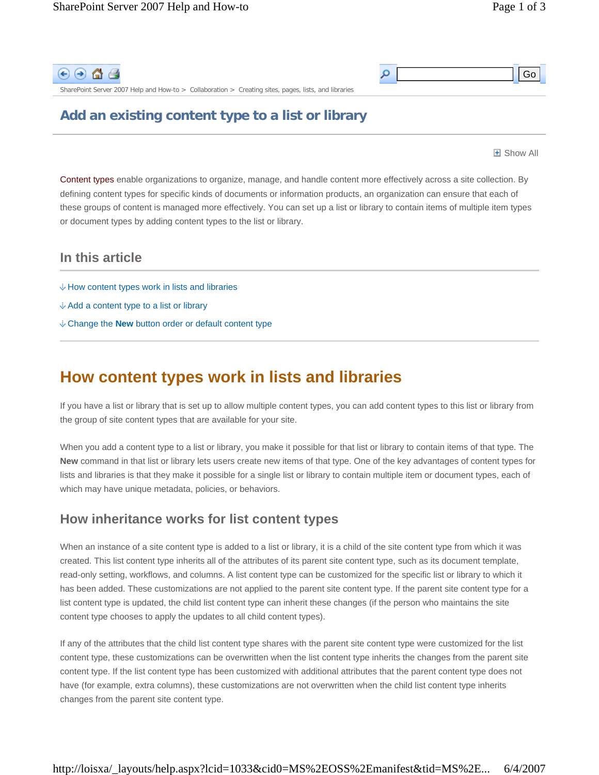Go



SharePoint Server 2007 Help and How-to > Collaboration > Creating sites, pages, lists, and libraries

### **Add an existing content type to a list or library**

**H** Show All

Content types enable organizations to organize, manage, and handle content more effectively across a site collection. By defining content types for specific kinds of documents or information products, an organization can ensure that each of these groups of content is managed more effectively. You can set up a list or library to contain items of multiple item types or document types by adding content types to the list or library.

م

### **In this article**

- $\&$  How content types work in lists and libraries
- Add a content type to a list or library
- Change the **New** button order or default content type

## **How content types work in lists and libraries**

If you have a list or library that is set up to allow multiple content types, you can add content types to this list or library from the group of site content types that are available for your site.

When you add a content type to a list or library, you make it possible for that list or library to contain items of that type. The **New** command in that list or library lets users create new items of that type. One of the key advantages of content types for lists and libraries is that they make it possible for a single list or library to contain multiple item or document types, each of which may have unique metadata, policies, or behaviors.

### **How inheritance works for list content types**

When an instance of a site content type is added to a list or library, it is a child of the site content type from which it was created. This list content type inherits all of the attributes of its parent site content type, such as its document template, read-only setting, workflows, and columns. A list content type can be customized for the specific list or library to which it has been added. These customizations are not applied to the parent site content type. If the parent site content type for a list content type is updated, the child list content type can inherit these changes (if the person who maintains the site content type chooses to apply the updates to all child content types).

If any of the attributes that the child list content type shares with the parent site content type were customized for the list content type, these customizations can be overwritten when the list content type inherits the changes from the parent site content type. If the list content type has been customized with additional attributes that the parent content type does not have (for example, extra columns), these customizations are not overwritten when the child list content type inherits changes from the parent site content type.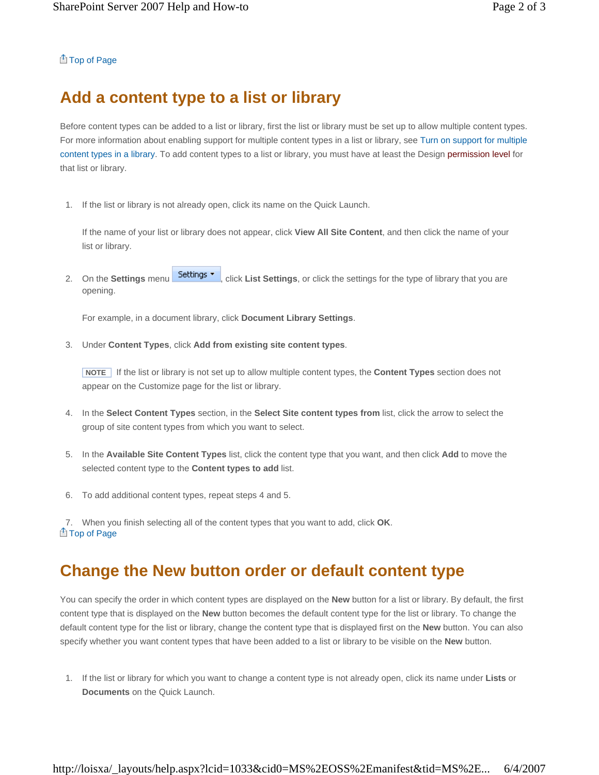#### Top of Page

# **Add a content type to a list or library**

Before content types can be added to a list or library, first the list or library must be set up to allow multiple content types. For more information about enabling support for multiple content types in a list or library, see Turn on support for multiple content types in a library. To add content types to a list or library, you must have at least the Design permission level for that list or library.

1. If the list or library is not already open, click its name on the Quick Launch.

If the name of your list or library does not appear, click **View All Site Content**, and then click the name of your list or library.

2. On the **Settings** menu **Settings v**, click **List Settings**, or click the settings for the type of library that you are opening.

For example, in a document library, click **Document Library Settings**.

3. Under **Content Types**, click **Add from existing site content types**.

 **NOTE** If the list or library is not set up to allow multiple content types, the **Content Types** section does not appear on the Customize page for the list or library.

- 4. In the **Select Content Types** section, in the **Select Site content types from** list, click the arrow to select the group of site content types from which you want to select.
- 5. In the **Available Site Content Types** list, click the content type that you want, and then click **Add** to move the selected content type to the **Content types to add** list.
- 6. To add additional content types, repeat steps 4 and 5.

7. When you finish selecting all of the content types that you want to add, click **OK**. **A** Top of Page

# **Change the New button order or default content type**

You can specify the order in which content types are displayed on the **New** button for a list or library. By default, the first content type that is displayed on the **New** button becomes the default content type for the list or library. To change the default content type for the list or library, change the content type that is displayed first on the **New** button. You can also specify whether you want content types that have been added to a list or library to be visible on the **New** button.

1. If the list or library for which you want to change a content type is not already open, click its name under **Lists** or **Documents** on the Quick Launch.